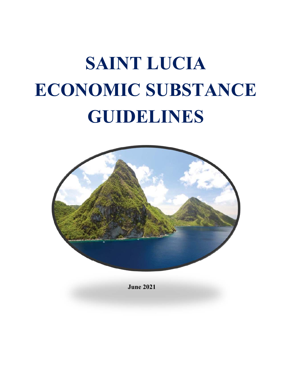# **SAINT LUCIA ECONOMIC SUBSTANCE GUIDELINES**



**June 2021**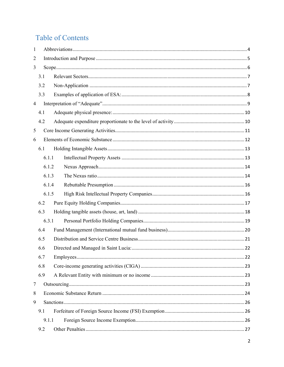# **Table of Contents**

| 1              |       |  |
|----------------|-------|--|
| $\overline{2}$ |       |  |
| 3              |       |  |
|                | 3.1   |  |
|                | 3.2   |  |
|                | 3.3   |  |
| $\overline{4}$ |       |  |
|                | 4.1   |  |
|                | 4.2   |  |
| 5              |       |  |
| 6              |       |  |
|                | 6.1   |  |
|                | 6.1.1 |  |
|                | 6.1.2 |  |
|                | 6.1.3 |  |
|                | 6.1.4 |  |
|                | 6.1.5 |  |
|                | 6.2   |  |
|                | 6.3   |  |
|                | 6.3.1 |  |
|                | 6.4   |  |
|                | 6.5   |  |
|                | 6.6   |  |
|                | 6.7   |  |
|                | 6.8   |  |
|                | 6.9   |  |
| 7              |       |  |
| 8              |       |  |
| 9              |       |  |
|                | 9.1   |  |
|                | 9.1.1 |  |
|                | 9.2   |  |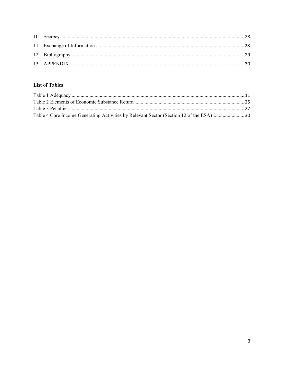# **List of Tables**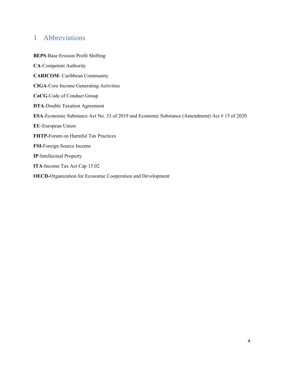# 1 Abbreviations

**BEPS**-Base Erosion Profit Shifting **CA**-Competent Authority **CARICOM**- Caribbean Community **CIGA**-Core Income Generating Activities **CoCG**-Code of Conduct Group **DTA**-Double Taxation Agreement **ESA**-Economic Substance Act No. 33 of 2019 and Economic Substance (Amendment) Act # 15 of 2020 **EU**-European Union **FHTP-**Forum on Harmful Tax Practices **FSI-**Foreign Source Income **IP**-Intellectual Property **ITA**-Income Tax Act Cap 15.02 **OECD-**Organization for Economic Cooperation and Development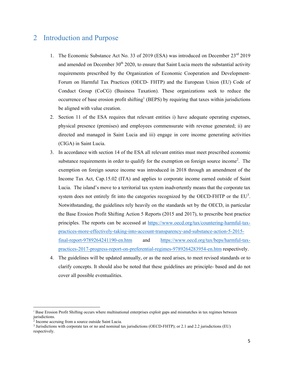# 2 Introduction and Purpose

- 1. The Economic Substance Act No. 33 of 2019 (ESA) was introduced on December 23<sup>rd</sup> 2019 and amended on December  $30<sup>th</sup> 2020$ , to ensure that Saint Lucia meets the substantial activity requirements prescribed by the Organization of Economic Cooperation and Development-Forum on Harmful Tax Practices (OECD- FHTP) and the European Union (EU) Code of Conduct Group (CoCG) (Business Taxation). These organizations seek to reduce the occurrence of base erosion profit shifting<sup>1</sup> (BEPS) by requiring that taxes within jurisdictions be aligned with value creation.
- 2. Section 11 of the ESA requires that relevant entities i) have adequate operating expenses, physical presence (premises) and employees commensurate with revenue generated; ii) are directed and managed in Saint Lucia and iii) engage in core income generating activities (CIGA) in Saint Lucia.
- 3. In accordance with section 14 of the ESA all relevant entities must meet prescribed economic substance requirements in order to qualify for the exemption on foreign source income<sup>2</sup>. The exemption on foreign source income was introduced in 2018 through an amendment of the Income Tax Act, Cap.15.02 (ITA) and applies to corporate income earned outside of Saint Lucia. The island's move to a territorial tax system inadvertently means that the corporate tax system does not entirely fit into the categories recognized by the OECD-FHTP or the  $EU^3$ . Notwithstanding, the guidelines rely heavily on the standards set by the OECD, in particular the Base Erosion Profit Shifting Action 5 Reports (2015 and 2017), to prescribe best practice principles. The reports can be accessed at https://www.oecd.org/tax/countering-harmful-taxpractices-more-effectively-taking-into-account-transparency-and-substance-action-5-2015 final-report-9789264241190-en.htm and https://www.oecd.org/tax/beps/harmful-taxpractices-2017-progress-report-on-preferential-regimes-9789264283954-en.htm respectively.
- 4. The guidelines will be updated annually, or as the need arises, to meet revised standards or to clarify concepts. It should also be noted that these guidelines are principle- based and do not cover all possible eventualities.

**.** 

<sup>&</sup>lt;sup>1</sup> Base Erosion Profit Shifting occurs where multinational enterprises exploit gaps and mismatches in tax regimes between jurisdictions.

<sup>&</sup>lt;sup>2</sup> Income accruing from a source outside Saint Lucia.

<sup>&</sup>lt;sup>3</sup> Jurisdictions with corporate tax or no and nominal tax jurisdictions (OECD-FHTP); or 2.1 and 2.2 jurisdictions (EU) respectively.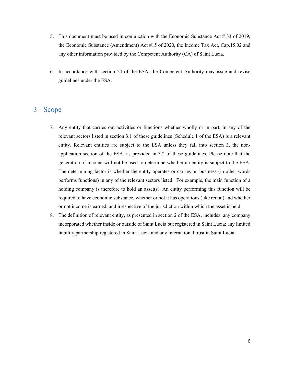- 5. This document must be used in conjunction with the Economic Substance Act # 33 of 2019; the Economic Substance (Amendment) Act #15 of 2020, the Income Tax Act, Cap.15.02 and any other information provided by the Competent Authority (CA) of Saint Lucia.
- 6. In accordance with section 24 of the ESA, the Competent Authority may issue and revise guidelines under the ESA.

# 3 Scope

- 7. Any entity that carries out activities or functions whether wholly or in part, in any of the relevant sectors listed in section 3.1 of these guidelines (Schedule 1 of the ESA) is a relevant entity. Relevant entities are subject to the ESA unless they fall into section 3, the nonapplication section of the ESA, as provided in 3.2 of these guidelines. Please note that the generation of income will not be used to determine whether an entity is subject to the ESA. The determining factor is whether the entity operates or carries on business (in other words performs functions) in any of the relevant sectors listed. For example, the main function of a holding company is therefore to hold an asset(s). An entity performing this function will be required to have economic substance, whether or not it has operations (like rental) and whether or not income is earned, and irrespective of the jurisdiction within which the asset is held.
- 8. The definition of relevant entity, as presented in section 2 of the ESA, includes: any company incorporated whether inside or outside of Saint Lucia but registered in Saint Lucia; any limited liability partnership registered in Saint Lucia and any international trust in Saint Lucia.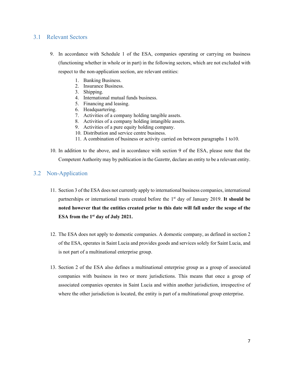## 3.1 Relevant Sectors

- 9. In accordance with Schedule 1 of the ESA, companies operating or carrying on business (functioning whether in whole or in part) in the following sectors, which are not excluded with respect to the non-application section, are relevant entities:
	- 1. Banking Business.
	- 2. Insurance Business.
	- 3. Shipping.
	- 4. International mutual funds business.
	- 5. Financing and leasing.
	- 6. Headquartering.
	- 7. Activities of a company holding tangible assets.
	- 8. Activities of a company holding intangible assets.
	- 9. Activities of a pure equity holding company.
	- 10. Distribution and service centre business.
	- 11. A combination of business or activity carried on between paragraphs 1 to10.
- 10. In addition to the above, and in accordance with section 9 of the ESA, please note that the Competent Authority may by publication in the *Gazette,* declare an entity to be a relevant entity.

## 3.2 Non-Application

- 11. Section 3 of the ESA does not currently apply to international business companies, international partnerships or international trusts created before the 1<sup>st</sup> day of January 2019. It should be **noted however that the entities created prior to this date will fall under the scope of the ESA from the 1st day of July 2021.**
- 12. The ESA does not apply to domestic companies. A domestic company, as defined in section 2 of the ESA, operates in Saint Lucia and provides goods and services solely for Saint Lucia, and is not part of a multinational enterprise group.
- 13. Section 2 of the ESA also defines a multinational enterprise group as a group of associated companies with business in two or more jurisdictions. This means that once a group of associated companies operates in Saint Lucia and within another jurisdiction, irrespective of where the other jurisdiction is located, the entity is part of a multinational group enterprise.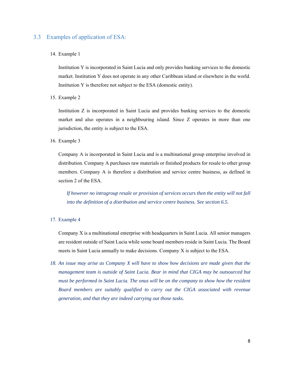## 3.3 Examples of application of ESA:

#### 14. Example 1

Institution Y is incorporated in Saint Lucia and only provides banking services to the domestic market. Institution Y does not operate in any other Caribbean island or elsewhere in the world. Institution Y is therefore not subject to the ESA (domestic entity).

#### 15. Example 2

Institution Z is incorporated in Saint Lucia and provides banking services to the domestic market and also operates in a neighbouring island. Since Z operates in more than one jurisdiction, the entity is subject to the ESA.

#### 16. Example 3

Company A is incorporated in Saint Lucia and is a multinational group enterprise involved in distribution. Company A purchases raw materials or finished products for resale to other group members. Company A is therefore a distribution and service centre business, as defined in section 2 of the ESA.

*If however no intragroup resale or provision of services occurs then the entity will not fall into the definition of a distribution and service centre business. See section 6.5.* 

#### 17. Example 4

Company X is a multinational enterprise with headquarters in Saint Lucia. All senior managers are resident outside of Saint Lucia while some board members reside in Saint Lucia. The Board meets in Saint Lucia annually to make decisions. Company X is subject to the ESA.

*18. An issue may arise as Company X will have to show how decisions are made given that the management team is outside of Saint Lucia. Bear in mind that CIGA may be outsourced but must be performed in Saint Lucia. The onus will be on the company to show how the resident Board members are suitably qualified to carry out the CIGA associated with revenue generation, and that they are indeed carrying out those tasks.*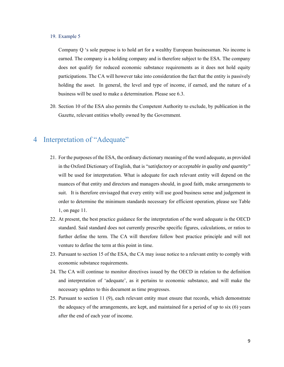#### 19. Example 5

Company Q 's sole purpose is to hold art for a wealthy European businessman. No income is earned. The company is a holding company and is therefore subject to the ESA. The company does not qualify for reduced economic substance requirements as it does not hold equity participations. The CA will however take into consideration the fact that the entity is passively holding the asset. In general, the level and type of income, if earned, and the nature of a business will be used to make a determination. Please see 6.3.

20. Section 10 of the ESA also permits the Competent Authority to exclude, by publication in the Gazette, relevant entities wholly owned by the Government.

# 4 Interpretation of "Adequate"

- 21. For the purposes of the ESA, the ordinary dictionary meaning of the word adequate, as provided in the Oxford Dictionary of English, that is "*satisfactory or acceptable in quality and quantity"* will be used for interpretation. What is adequate for each relevant entity will depend on the nuances of that entity and directors and managers should, in good faith, make arrangements to suit. It is therefore envisaged that every entity will use good business sense and judgement in order to determine the minimum standards necessary for efficient operation, please see Table 1, on page 11.
- 22. At present, the best practice guidance for the interpretation of the word adequate is the OECD standard. Said standard does not currently prescribe specific figures, calculations, or ratios to further define the term. The CA will therefore follow best practice principle and will not venture to define the term at this point in time.
- 23. Pursuant to section 15 of the ESA, the CA may issue notice to a relevant entity to comply with economic substance requirements.
- 24. The CA will continue to monitor directives issued by the OECD in relation to the definition and interpretation of 'adequate', as it pertains to economic substance, and will make the necessary updates to this document as time progresses.
- 25. Pursuant to section 11 (9), each relevant entity must ensure that records, which demonstrate the adequacy of the arrangements, are kept, and maintained for a period of up to six (6) years after the end of each year of income.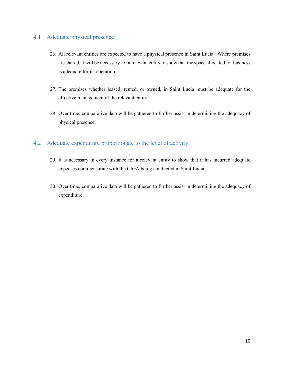# 4.1 Adequate physical presence:

- 26. All relevant entities are expected to have a physical presence in Saint Lucia. Where premises are shared, it will be necessary for a relevant entity to show that the space allocated for business is adequate for its operation.
- 27. The premises whether leased, rented, or owned, in Saint Lucia must be adequate for the effective management of the relevant entity.
- 28. Over time, comparative data will be gathered to further assist in determining the adequacy of physical presence.

# 4.2 Adequate expenditure proportionate to the level of activity

- 29. It is necessary in every instance for a relevant entity to show that it has incurred adequate expenses commensurate with the CIGA being conducted in Saint Lucia.
- 30. Over time, comparative data will be gathered to further assist in determining the adequacy of expenditure.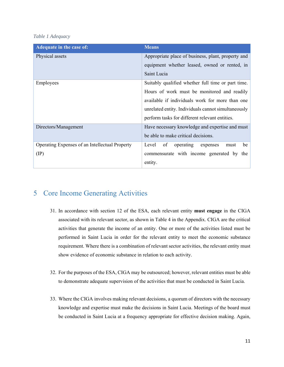#### *Table 1 Adequacy*

| Adequate in the case of:                       | <b>Means</b>                                        |  |  |
|------------------------------------------------|-----------------------------------------------------|--|--|
| Physical assets                                | Appropriate place of business, plant, property and  |  |  |
|                                                | equipment whether leased, owned or rented, in       |  |  |
|                                                | Saint Lucia                                         |  |  |
| Employees                                      | Suitably qualified whether full time or part time.  |  |  |
|                                                | Hours of work must be monitored and readily         |  |  |
|                                                | available if individuals work for more than one     |  |  |
|                                                | unrelated entity. Individuals cannot simultaneously |  |  |
|                                                | perform tasks for different relevant entities.      |  |  |
| Directors/Management                           | Have necessary knowledge and expertise and must     |  |  |
|                                                | be able to make critical decisions.                 |  |  |
| Operating Expenses of an Intellectual Property | Level<br>be<br>of<br>operating<br>expenses<br>must  |  |  |
| $(\text{IP})$                                  | commensurate with income generated by<br>the        |  |  |
|                                                | entity.                                             |  |  |

# 5 Core Income Generating Activities

- 31. In accordance with section 12 of the ESA, each relevant entity **must engage** in the CIGA associated with its relevant sector, as shown in Table 4 in the Appendix. CIGA are the critical activities that generate the income of an entity. One or more of the activities listed must be performed in Saint Lucia in order for the relevant entity to meet the economic substance requirement. Where there is a combination of relevant sector activities, the relevant entity must show evidence of economic substance in relation to each activity.
- 32. For the purposes of the ESA, CIGA may be outsourced; however, relevant entities must be able to demonstrate adequate supervision of the activities that must be conducted in Saint Lucia.
- 33. Where the CIGA involves making relevant decisions, a quorum of directors with the necessary knowledge and expertise must make the decisions in Saint Lucia. Meetings of the board must be conducted in Saint Lucia at a frequency appropriate for effective decision making. Again,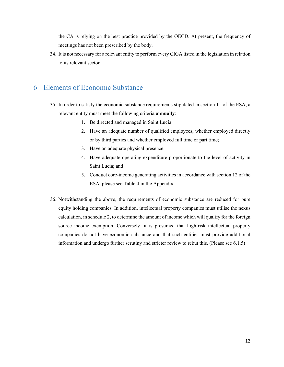the CA is relying on the best practice provided by the OECD. At present, the frequency of meetings has not been prescribed by the body.

34. It is not necessary for a relevant entity to perform every CIGA listed in the legislation in relation to its relevant sector

# 6 Elements of Economic Substance

- 35. In order to satisfy the economic substance requirements stipulated in section 11 of the ESA, a relevant entity must meet the following criteria **annually**:
	- 1. Be directed and managed in Saint Lucia;
	- 2. Have an adequate number of qualified employees; whether employed directly or by third parties and whether employed full time or part time;
	- 3. Have an adequate physical presence;
	- 4. Have adequate operating expenditure proportionate to the level of activity in Saint Lucia; and
	- 5. Conduct core-income generating activities in accordance with section 12 of the ESA, please see Table 4 in the Appendix.
- 36. Notwithstanding the above, the requirements of economic substance are reduced for pure equity holding companies. In addition, intellectual property companies must utilise the nexus calculation, in schedule 2, to determine the amount of income which will qualify for the foreign source income exemption. Conversely, it is presumed that high-risk intellectual property companies do not have economic substance and that such entities must provide additional information and undergo further scrutiny and stricter review to rebut this. (Please see 6.1.5)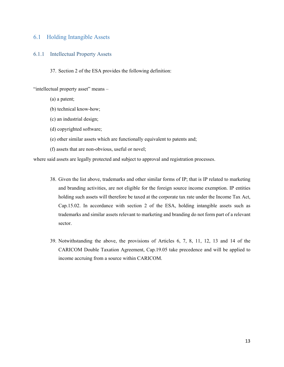## 6.1 Holding Intangible Assets

#### 6.1.1 Intellectual Property Assets

37. Section 2 of the ESA provides the following definition:

"intellectual property asset" means -

- (a) a patent;
- (b) technical know-how;
- (c) an industrial design;
- (d) copyrighted software;
- (e) other similar assets which are functionally equivalent to patents and;
- (f) assets that are non-obvious, useful or novel;

where said assets are legally protected and subject to approval and registration processes.

- 38. Given the list above, trademarks and other similar forms of IP; that is IP related to marketing and branding activities, are not eligible for the foreign source income exemption. IP entities holding such assets will therefore be taxed at the corporate tax rate under the Income Tax Act, Cap.15.02. In accordance with section 2 of the ESA, holding intangible assets such as trademarks and similar assets relevant to marketing and branding do not form part of a relevant sector.
- 39. Notwithstanding the above, the provisions of Articles 6, 7, 8, 11, 12, 13 and 14 of the CARICOM Double Taxation Agreement, Cap.19.05 take precedence and will be applied to income accruing from a source within CARICOM.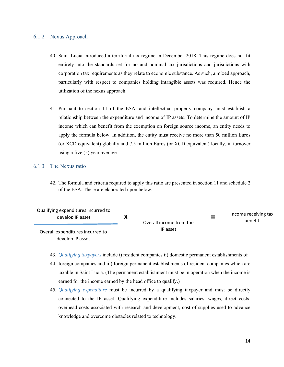#### 6.1.2 Nexus Approach

- 40. Saint Lucia introduced a territorial tax regime in December 2018. This regime does not fit entirely into the standards set for no and nominal tax jurisdictions and jurisdictions with corporation tax requirements as they relate to economic substance. As such, a mixed approach, particularly with respect to companies holding intangible assets was required. Hence the utilization of the nexus approach.
- 41. Pursuant to section 11 of the ESA, and intellectual property company must establish a relationship between the expenditure and income of IP assets. To determine the amount of IP income which can benefit from the exemption on foreign source income, an entity needs to apply the formula below. In addition, the entity must receive no more than 50 million Euros (or XCD equivalent) globally and 7.5 million Euros (or XCD equivalent) locally, in turnover using a five (5) year average.

#### 6.1.3 The Nexus ratio

42. The formula and criteria required to apply this ratio are presented in section 11 and schedule 2 of the ESA. These are elaborated upon below:

| Qualifying expenditures incurred to<br>develop IP asset | Overall income from the<br>IP asset | $=$ | Income receiving tax<br>benefit |
|---------------------------------------------------------|-------------------------------------|-----|---------------------------------|
| Overall expenditures incurred to<br>develop IP asset    |                                     |     |                                 |

- 43. *Qualifying taxpayers* include i) resident companies ii) domestic permanent establishments of
- 44. foreign companies and iii) foreign permanent establishments of resident companies which are taxable in Saint Lucia. (The permanent establishment must be in operation when the income is earned for the income earned by the head office to qualify.)
- 45. *Qualifying expenditure* must be incurred by a qualifying taxpayer and must be directly connected to the IP asset. Qualifying expenditure includes salaries, wages, direct costs, overhead costs associated with research and development, cost of supplies used to advance knowledge and overcome obstacles related to technology.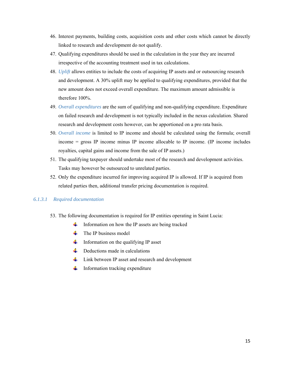- 46. Interest payments, building costs, acquisition costs and other costs which cannot be directly linked to research and development do not qualify.
- 47. Qualifying expenditures should be used in the calculation in the year they are incurred irrespective of the accounting treatment used in tax calculations.
- 48. *Uplift* allows entities to include the costs of acquiring IP assets and or outsourcing research and development. A 30% uplift may be applied to qualifying expenditures, provided that the new amount does not exceed overall expenditure. The maximum amount admissible is therefore 100%.
- 49. *Overall expenditures* are the sum of qualifying and non-qualifying expenditure. Expenditure on failed research and development is not typically included in the nexus calculation. Shared research and development costs however, can be apportioned on a pro rata basis.
- 50. *Overall income* is limited to IP income and should be calculated using the formula; overall income = gross IP income minus IP income allocable to IP income. (IP income includes royalties, capital gains and income from the sale of IP assets.)
- 51. The qualifying taxpayer should undertake most of the research and development activities. Tasks may however be outsourced to unrelated parties.
- 52. Only the expenditure incurred for improving acquired IP is allowed. If IP is acquired from related parties then, additional transfer pricing documentation is required.

### *6.1.3.1 Required documentation*

- 53. The following documentation is required for IP entities operating in Saint Lucia:
	- Information on how the IP assets are being tracked
	- **H** The IP business model
	- **H** Information on the qualifying IP asset
	- $\downarrow$  Deductions made in calculations
	- $\downarrow$  Link between IP asset and research and development
	- ₩. Information tracking expenditure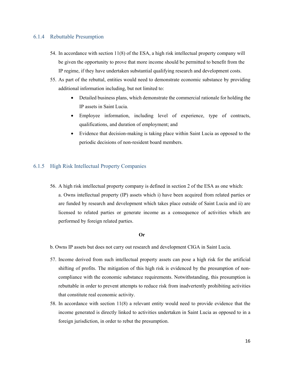#### 6.1.4 Rebuttable Presumption

- 54. In accordance with section 11(8) of the ESA, a high risk intellectual property company will be given the opportunity to prove that more income should be permitted to benefit from the IP regime, if they have undertaken substantial qualifying research and development costs.
- 55. As part of the rebuttal, entities would need to demonstrate economic substance by providing additional information including, but not limited to:
	- Detailed business plans, which demonstrate the commercial rationale for holding the IP assets in Saint Lucia.
	- Employee information, including level of experience, type of contracts, qualifications, and duration of employment; and
	- Evidence that decision-making is taking place within Saint Lucia as opposed to the periodic decisions of non-resident board members.

## 6.1.5 High Risk Intellectual Property Companies

56. A high risk intellectual property company is defined in section 2 of the ESA as one which:

a. Owns intellectual property (IP) assets which i) have been acquired from related parties or are funded by research and development which takes place outside of Saint Lucia and ii) are licensed to related parties or generate income as a consequence of activities which are performed by foreign related parties.

#### **Or**

- b. Owns IP assets but does not carry out research and development CIGA in Saint Lucia.
- 57. Income derived from such intellectual property assets can pose a high risk for the artificial shifting of profits. The mitigation of this high risk is evidenced by the presumption of noncompliance with the economic substance requirements. Notwithstanding, this presumption is rebuttable in order to prevent attempts to reduce risk from inadvertently prohibiting activities that constitute real economic activity.
- 58. In accordance with section 11(8) a relevant entity would need to provide evidence that the income generated is directly linked to activities undertaken in Saint Lucia as opposed to in a foreign jurisdiction, in order to rebut the presumption.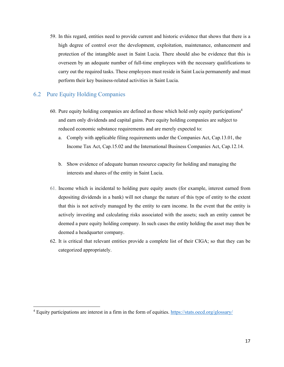59. In this regard, entities need to provide current and historic evidence that shows that there is a high degree of control over the development, exploitation, maintenance, enhancement and protection of the intangible asset in Saint Lucia. There should also be evidence that this is overseen by an adequate number of full-time employees with the necessary qualifications to carry out the required tasks. These employees must reside in Saint Lucia permanently and must perform their key business-related activities in Saint Lucia.

## 6.2 Pure Equity Holding Companies

 $\overline{a}$ 

- 60. Pure equity holding companies are defined as those which hold only equity participations<sup>4</sup> and earn only dividends and capital gains. Pure equity holding companies are subject to reduced economic substance requirements and are merely expected to:
	- a. Comply with applicable filing requirements under the Companies Act, Cap.13.01, the Income Tax Act, Cap.15.02 and the International Business Companies Act, Cap.12.14.
	- b. Show evidence of adequate human resource capacity for holding and managing the interests and shares of the entity in Saint Lucia.
- 61. Income which is incidental to holding pure equity assets (for example, interest earned from depositing dividends in a bank) will not change the nature of this type of entity to the extent that this is not actively managed by the entity to earn income. In the event that the entity is actively investing and calculating risks associated with the assets; such an entity cannot be deemed a pure equity holding company. In such cases the entity holding the asset may then be deemed a headquarter company.
- 62. It is critical that relevant entities provide a complete list of their CIGA; so that they can be categorized appropriately.

<sup>&</sup>lt;sup>4</sup> Equity participations are interest in a firm in the form of equities. https://stats.oecd.org/glossary/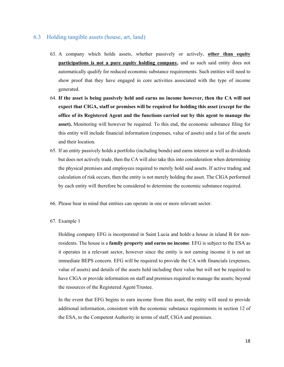### 6.3 Holding tangible assets (house, art, land)

- 63. A company which holds assets, whether passively or actively, **other than equity participations is not a pure equity holding company,** and as such said entity does not automatically qualify for reduced economic substance requirements. Such entities will need to show proof that they have engaged in core activities associated with the type of income generated.
- 64. **If the asset is being passively held and earns no income however, then the CA will not expect that CIGA, staff or premises will be required for holding this asset (except for the office of its Registered Agent and the functions carried out by this agent to manage the asset).** Monitoring will however be required. To this end, the economic substance filing for this entity will include financial information (expenses, value of assets) and a list of the assets and their location.
- 65. If an entity passively holds a portfolio (including bonds) and earns interest as well as dividends but does not actively trade, then the CA will also take this into consideration when determining the physical premises and employees required to merely hold said assets. If active trading and calculation of risk occurs, then the entity is not merely holding the asset. The CIGA performed by each entity will therefore be considered to determine the economic substance required.
- 66. Please bear in mind that entities can operate in one or more relevant sector.
- 67. Example 1

Holding company EFG is incorporated in Saint Lucia and holds a house in island B for nonresidents. The house is a **family property and earns no income**. EFG is subject to the ESA as it operates in a relevant sector, however since the entity is not earning income it is not an immediate BEPS concern. EFG will be required to provide the CA with financials (expenses, value of assets) and details of the assets held including their value but will not be required to have CIGA or provide information on staff and premises required to manage the assets; beyond the resources of the Registered Agent/Trustee.

In the event that EFG begins to earn income from this asset, the entity will need to provide additional information, consistent with the economic substance requirements in section 12 of the ESA, to the Competent Authority in terms of staff, CIGA and premises.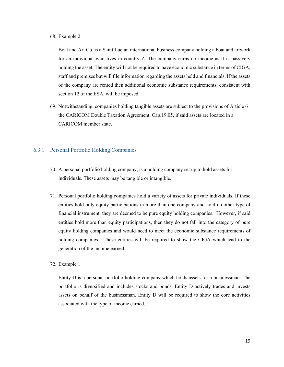#### 68. Example 2

Boat and Art Co. is a Saint Lucian international business company holding a boat and artwork for an individual who lives in country Z. The company earns no income as it is passively holding the asset. The entity will not be required to have economic substance in terms of CIGA, staff and premises but will file information regarding the assets held and financials. If the assets of the company are rented then additional economic substance requirements, consistent with section 12 of the ESA, will be imposed.

69. Notwithstanding, companies holding tangible assets are subject to the provisions of Article 6 the CARICOM Double Taxation Agreement, Cap.19.05, if said assets are located in a CARICOM member state.

## 6.3.1 Personal Portfolio Holding Companies

- 70. A personal portfolio holding company, is a holding company set up to hold assets for individuals. These assets may be tangible or intangible.
- 71. Personal portfolio holding companies hold a variety of assets for private individuals. If these entities hold only equity participations in more than one company and hold no other type of financial instrument, they are deemed to be pure equity holding companies. However, if said entities hold more than equity participations, then they do not fall into the category of pure equity holding companies and would need to meet the economic substance requirements of holding companies. These entities will be required to show the CIGA which lead to the generation of the income earned.

#### 72. Example 1

Entity D is a personal portfolio holding company which holds assets for a businessman. The portfolio is diversified and includes stocks and bonds. Entity D actively trades and invests assets on behalf of the businessman. Entity D will be required to show the core activities associated with the type of income earned.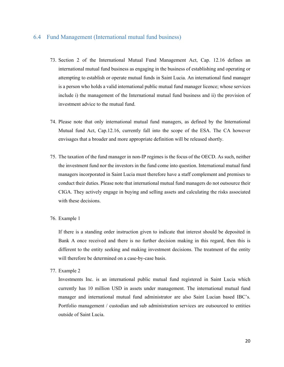### 6.4 Fund Management (International mutual fund business)

- 73. Section 2 of the International Mutual Fund Management Act, Cap. 12.16 defines an international mutual fund business as engaging in the business of establishing and operating or attempting to establish or operate mutual funds in Saint Lucia. An international fund manager is a person who holds a valid international public mutual fund manager licence; whose services include i) the management of the International mutual fund business and ii) the provision of investment advice to the mutual fund.
- 74. Please note that only international mutual fund managers, as defined by the International Mutual fund Act, Cap.12.16, currently fall into the scope of the ESA. The CA however envisages that a broader and more appropriate definition will be released shortly.
- 75. The taxation of the fund manager in non-IP regimes is the focus of the OECD. As such, neither the investment fund nor the investors in the fund come into question. International mutual fund managers incorporated in Saint Lucia must therefore have a staff complement and premises to conduct their duties. Please note that international mutual fund managers do not outsource their CIGA. They actively engage in buying and selling assets and calculating the risks associated with these decisions.
- 76. Example 1

If there is a standing order instruction given to indicate that interest should be deposited in Bank A once received and there is no further decision making in this regard, then this is different to the entity seeking and making investment decisions. The treatment of the entity will therefore be determined on a case-by-case basis.

77. Example 2

Investments Inc. is an international public mutual fund registered in Saint Lucia which currently has 10 million USD in assets under management. The international mutual fund manager and international mutual fund administrator are also Saint Lucian based IBC's. Portfolio management / custodian and sub administration services are outsourced to entities outside of Saint Lucia.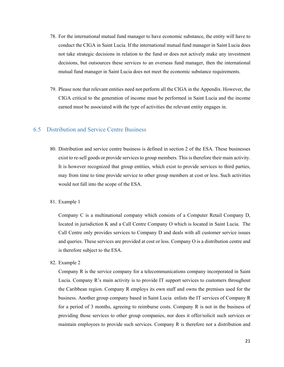- 78. For the international mutual fund manager to have economic substance, the entity will have to conduct the CIGA in Saint Lucia. If the international mutual fund manager in Saint Lucia does not take strategic decisions in relation to the fund or does not actively make any investment decisions, but outsources these services to an overseas fund manager, then the international mutual fund manager in Saint Lucia does not meet the economic substance requirements.
- 79. Please note that relevant entities need not perform all the CIGA in the Appendix. However, the CIGA critical to the generation of income must be performed in Saint Lucia and the income earned must be associated with the type of activities the relevant entity engages in.

## 6.5 Distribution and Service Centre Business

- 80. Distribution and service centre business is defined in section 2 of the ESA. These businesses exist to re-sell goods or provide services to group members. This is therefore their main activity. It is however recognized that group entities, which exist to provide services to third parties, may from time to time provide service to other group members at cost or less. Such activities would not fall into the scope of the ESA.
- 81. Example 1

Company C is a multinational company which consists of a Computer Retail Company D, located in jurisdiction K and a Call Centre Company O which is located in Saint Lucia. The Call Centre only provides services to Company D and deals with all customer service issues and queries. These services are provided at cost or less. Company O is a distribution centre and is therefore subject to the ESA.

82. Example 2

Company R is the service company for a telecommunications company incorporated in Saint Lucia. Company R's main activity is to provide IT support services to customers throughout the Caribbean region. Company R employs its own staff and owns the premises used for the business. Another group company based in Saint Lucia enlists the IT services of Company R for a period of 3 months, agreeing to reimburse costs. Company R is not in the business of providing those services to other group companies, nor does it offer/solicit such services or maintain employees to provide such services. Company R is therefore not a distribution and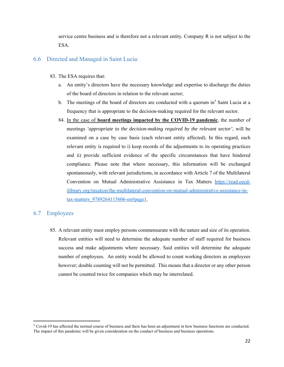service centre business and is therefore not a relevant entity. Company R is not subject to the ESA.

## 6.6 Directed and Managed in Saint Lucia:

- 83. The ESA requires that:
	- a. An entity's directors have the necessary knowledge and expertise to discharge the duties of the board of directors in relation to the relevant sector;
	- b. The meetings of the board of directors are conducted with a quorum in<sup>5</sup> Saint Lucia at a frequency that is appropriate to the decision-making required for the relevant sector.
	- 84. In the case of **board meetings impacted by the COVID-19 pandemic**, the number of meetings *'appropriate to the decision-making required by the relevant sector'*, will be examined on a case by case basis (each relevant entity affected). In this regard, each relevant entity is required to i) keep records of the adjustments to its operating practices and ii) provide sufficient evidence of the specific circumstances that have hindered compliance. Please note that where necessary, this information will be exchanged spontaneously, with relevant jurisdictions, in accordance with Article 7 of the Multilateral Convention on Mutual Administrative Assistance in Tax Matters https://read.oecdilibrary.org/taxation/the-multilateral-convention-on-mutual-administrative-assistance-intax-matters\_9789264115606-en#page1.

## 6.7 Employees

l

85. A relevant entity must employ persons commensurate with the nature and size of its operation. Relevant entities will need to determine the adequate number of staff required for business success and make adjustments where necessary. Said entities will determine the adequate number of employees. An entity would be allowed to count working directors as employees however; double counting will not be permitted. This means that a director or any other person cannot be counted twice for companies which may be interrelated.

<sup>&</sup>lt;sup>5</sup> Covid-19 has affected the normal course of business and there has been an adjustment in how business functions are conducted. The impact of this pandemic will be given consideration on the conduct of business and business operations.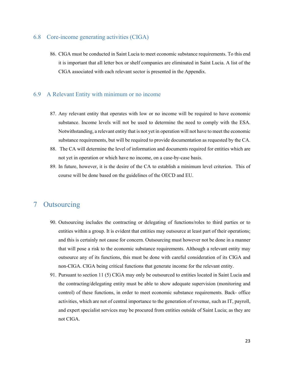## 6.8 Core-income generating activities (CIGA)

86. CIGA must be conducted in Saint Lucia to meet economic substance requirements. To this end it is important that all letter box or shelf companies are eliminated in Saint Lucia. A list of the CIGA associated with each relevant sector is presented in the Appendix.

## 6.9 A Relevant Entity with minimum or no income

- 87. Any relevant entity that operates with low or no income will be required to have economic substance. Income levels will not be used to determine the need to comply with the ESA. Notwithstanding, a relevant entity that is not yet in operation will not have to meet the economic substance requirements, but will be required to provide documentation as requested by the CA.
- 88. The CA will determine the level of information and documents required for entities which are not yet in operation or which have no income, on a case-by-case basis.
- 89. In future, however, it is the desire of the CA to establish a minimum level criterion. This of course will be done based on the guidelines of the OECD and EU.

# 7 Outsourcing

- 90. Outsourcing includes the contracting or delegating of functions/roles to third parties or to entities within a group. It is evident that entities may outsource at least part of their operations; and this is certainly not cause for concern. Outsourcing must however not be done in a manner that will pose a risk to the economic substance requirements. Although a relevant entity may outsource any of its functions, this must be done with careful consideration of its CIGA and non-CIGA. CIGA being critical functions that generate income for the relevant entity.
- 91. Pursuant to section 11 (5) CIGA may only be outsourced to entities located in Saint Lucia and the contracting/delegating entity must be able to show adequate supervision (monitoring and control) of these functions, in order to meet economic substance requirements. Back- office activities, which are not of central importance to the generation of revenue, such as IT, payroll, and expert specialist services may be procured from entities outside of Saint Lucia; as they are not CIGA.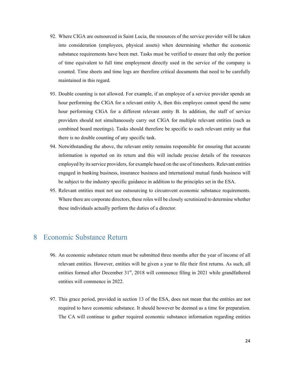- 92. Where CIGA are outsourced in Saint Lucia, the resources of the service provider will be taken into consideration (employees, physical assets) when determining whether the economic substance requirements have been met. Tasks must be verified to ensure that only the portion of time equivalent to full time employment directly used in the service of the company is counted. Time sheets and time logs are therefore critical documents that need to be carefully maintained in this regard.
- 93. Double counting is not allowed. For example, if an employee of a service provider spends an hour performing the CIGA for a relevant entity A, then this employee cannot spend the same hour performing CIGA for a different relevant entity B. In addition, the staff of service providers should not simultaneously carry out CIGA for multiple relevant entities (such as combined board meetings). Tasks should therefore be specific to each relevant entity so that there is no double counting of any specific task.
- 94. Notwithstanding the above, the relevant entity remains responsible for ensuring that accurate information is reported on its return and this will include precise details of the resources employed by its service providers, for example based on the use of timesheets. Relevant entities engaged in banking business, insurance business and international mutual funds business will be subject to the industry specific guidance in addition to the principles set in the ESA.
- 95. Relevant entities must not use outsourcing to circumvent economic substance requirements. Where there are corporate directors, these roles will be closely scrutinized to determine whether these individuals actually perform the duties of a director.

# 8 Economic Substance Return

- 96. An economic substance return must be submitted three months after the year of income of all relevant entities. However, entities will be given a year to file their first returns. As such, all entities formed after December 31<sup>st</sup>, 2018 will commence filing in 2021 while grandfathered entities will commence in 2022.
- 97. This grace period, provided in section 13 of the ESA, does not mean that the entities are not required to have economic substance. It should however be deemed as a time for preparation. The CA will continue to gather required economic substance information regarding entities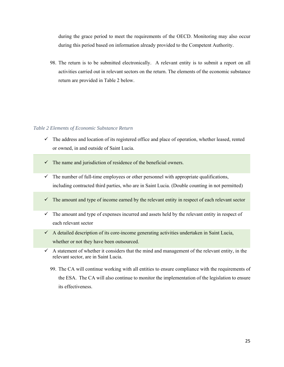during the grace period to meet the requirements of the OECD. Monitoring may also occur during this period based on information already provided to the Competent Authority.

98. The return is to be submitted electronically. A relevant entity is to submit a report on all activities carried out in relevant sectors on the return. The elements of the economic substance return are provided in Table 2 below.

#### *Table 2 Elements of Economic Substance Return*

- $\checkmark$  The address and location of its registered office and place of operation, whether leased, rented or owned, in and outside of Saint Lucia.
- $\checkmark$  The name and jurisdiction of residence of the beneficial owners.
- $\checkmark$  The number of full-time employees or other personnel with appropriate qualifications, including contracted third parties, who are in Saint Lucia. (Double counting in not permitted)
- $\checkmark$  The amount and type of income earned by the relevant entity in respect of each relevant sector
- $\checkmark$  The amount and type of expenses incurred and assets held by the relevant entity in respect of each relevant sector
- $\checkmark$  A detailed description of its core-income generating activities undertaken in Saint Lucia, whether or not they have been outsourced.
- $\checkmark$  A statement of whether it considers that the mind and management of the relevant entity, in the relevant sector, are in Saint Lucia.
	- 99. The CA will continue working with all entities to ensure compliance with the requirements of the ESA. The CA will also continue to monitor the implementation of the legislation to ensure its effectiveness.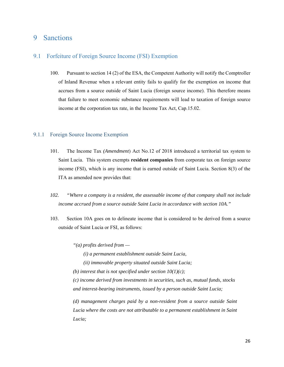# 9 Sanctions

## 9.1 Forfeiture of Foreign Source Income (FSI) Exemption

100. Pursuant to section 14 (2) of the ESA, the Competent Authority will notify the Comptroller of Inland Revenue when a relevant entity fails to qualify for the exemption on income that accrues from a source outside of Saint Lucia (foreign source income). This therefore means that failure to meet economic substance requirements will lead to taxation of foreign source income at the corporation tax rate, in the Income Tax Act, Cap.15.02.

#### 9.1.1 Foreign Source Income Exemption

- 101. The Income Tax *(Amendment*) Act No.12 of 2018 introduced a territorial tax system to Saint Lucia. This system exempts **resident companies** from corporate tax on foreign source income (FSI), which is any income that is earned outside of Saint Lucia. Section 8(3) of the ITA as amended now provides that:
- *102. "Where a company is a resident, the assessable income of that company shall not include income accrued from a source outside Saint Lucia in accordance with section 10A."*
- 103. Section 10A goes on to delineate income that is considered to be derived from a source outside of Saint Lucia or FSI, as follows:

*"(a) profits derived from —* 

*(i) a permanent establishment outside Saint Lucia,* 

 *(ii) immovable property situated outside Saint Lucia;* 

*(b) interest that is not specified under section*  $10(1)(c)$ *;* 

*(c) income derived from investments in securities, such as, mutual funds, stocks and interest-bearing instruments, issued by a person outside Saint Lucia;* 

*(d) management charges paid by a non-resident from a source outside Saint Lucia where the costs are not attributable to a permanent establishment in Saint Lucia;*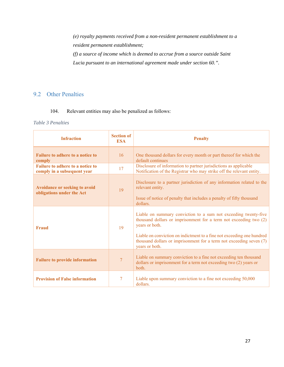*(e) royalty payments received from a non-resident permanent establishment to a resident permanent establishment; (f) a source of income which is deemed to accrue from a source outside Saint Lucia pursuant to an international agreement made under section 60.".* 

# 9.2 Other Penalties

## 104. Relevant entities may also be penalized as follows:

#### *Table 3 Penalties*

| <b>Infraction</b>                                                      | <b>Section of</b><br><b>ESA</b> | <b>Penalty</b>                                                                                                                                                                                                                                                                                                            |
|------------------------------------------------------------------------|---------------------------------|---------------------------------------------------------------------------------------------------------------------------------------------------------------------------------------------------------------------------------------------------------------------------------------------------------------------------|
| <b>Failure to adhere to a notice to</b><br>comply                      | 16                              | One thousand dollars for every month or part thereof for which the<br>default continues                                                                                                                                                                                                                                   |
| <b>Failure to adhere to a notice to</b><br>comply in a subsequent year | 17                              | Disclosure of information to partner jurisdictions as applicable<br>Notification of the Registrar who may strike off the relevant entity.                                                                                                                                                                                 |
| Avoidance or seeking to avoid<br>obligations under the Act             | 19                              | Disclosure to a partner jurisdiction of any information related to the<br>relevant entity.<br>Issue of notice of penalty that includes a penalty of fifty thousand<br>dollars.                                                                                                                                            |
| <b>Fraud</b>                                                           | 19                              | Liable on summary conviction to a sum not exceeding twenty-five<br>thousand dollars or imprisonment for a term not exceeding two (2)<br>years or both.<br>Liable on conviction on indictment to a fine not exceeding one hundred<br>thousand dollars or imprisonment for a term not exceeding seven (7)<br>years or both. |
| <b>Failure to provide information</b>                                  | 7                               | Liable on summary conviction to a fine not exceeding ten thousand<br>dollars or imprisonment for a term not exceeding two (2) years or<br>both.                                                                                                                                                                           |
| <b>Provision of False information</b>                                  | 7                               | Liable upon summary conviction to a fine not exceeding 50,000<br>dollars.                                                                                                                                                                                                                                                 |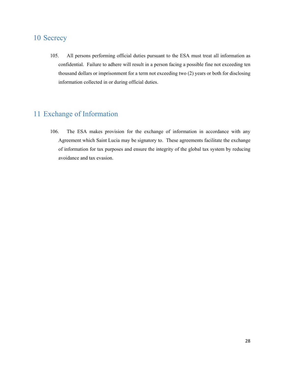# 10 Secrecy

105. All persons performing official duties pursuant to the ESA must treat all information as confidential. Failure to adhere will result in a person facing a possible fine not exceeding ten thousand dollars or imprisonment for a term not exceeding two (2) years or both for disclosing information collected in or during official duties.

# 11 Exchange of Information

106. The ESA makes provision for the exchange of information in accordance with any Agreement which Saint Lucia may be signatory to. These agreements facilitate the exchange of information for tax purposes and ensure the integrity of the global tax system by reducing avoidance and tax evasion.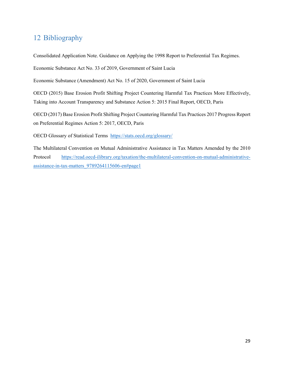# 12 Bibliography

Consolidated Application Note. Guidance on Applying the 1998 Report to Preferential Tax Regimes.

Economic Substance Act No. 33 of 2019, Government of Saint Lucia

Economic Substance (Amendment) Act No. 15 of 2020, Government of Saint Lucia

OECD (2015) Base Erosion Profit Shifting Project Countering Harmful Tax Practices More Effectively, Taking into Account Transparency and Substance Action 5: 2015 Final Report, OECD, Paris

OECD (2017) Base Erosion Profit Shifting Project Countering Harmful Tax Practices 2017 Progress Report on Preferential Regimes Action 5: 2017, OECD, Paris

OECD Glossary of Statistical Terms https://stats.oecd.org/glossary/

The Multilateral Convention on Mutual Administrative Assistance in Tax Matters Amended by the 2010 Protocol https://read.oecd-ilibrary.org/taxation/the-multilateral-convention-on-mutual-administrativeassistance-in-tax-matters\_9789264115606-en#page1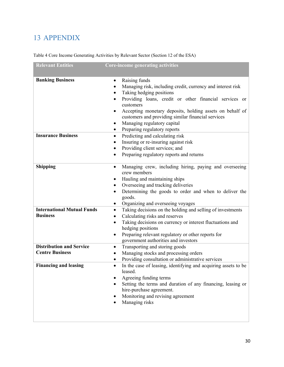# 13 APPENDIX

| <b>Relevant Entities</b>          | <b>Core-income generating activities</b>                                                                                    |
|-----------------------------------|-----------------------------------------------------------------------------------------------------------------------------|
|                                   |                                                                                                                             |
| <b>Banking Business</b>           | Raising funds<br>$\bullet$                                                                                                  |
|                                   | Managing risk, including credit, currency and interest risk                                                                 |
|                                   | Taking hedging positions                                                                                                    |
|                                   | Providing loans, credit or other financial services or<br>customers                                                         |
|                                   | Accepting monetary deposits, holding assets on behalf of<br>$\bullet$<br>customers and providing similar financial services |
|                                   | Managing regulatory capital                                                                                                 |
|                                   | Preparing regulatory reports                                                                                                |
| <b>Insurance Business</b>         | Predicting and calculating risk<br>$\bullet$                                                                                |
|                                   | Insuring or re-insuring against risk                                                                                        |
|                                   | Providing client services; and                                                                                              |
|                                   | Preparing regulatory reports and returns                                                                                    |
| <b>Shipping</b>                   | Managing crew, including hiring, paying and overseeing<br>$\bullet$<br>crew members                                         |
|                                   | Hauling and maintaining ships<br>٠                                                                                          |
|                                   | Overseeing and tracking deliveries<br>٠                                                                                     |
|                                   | Determining the goods to order and when to deliver the<br>$\bullet$<br>goods.                                               |
|                                   | Organizing and overseeing voyages<br>$\bullet$                                                                              |
| <b>International Mutual Funds</b> | Taking decisions on the holding and selling of investments<br>$\bullet$                                                     |
| <b>Business</b>                   | Calculating risks and reserves<br>$\bullet$                                                                                 |
|                                   | Taking decisions on currency or interest fluctuations and<br>$\bullet$<br>hedging positions                                 |
|                                   | Preparing relevant regulatory or other reports for<br>government authorities and investors                                  |
| <b>Distribution and Service</b>   | Transporting and storing goods<br>$\bullet$                                                                                 |
| <b>Centre Business</b>            | Managing stocks and processing orders<br>$\bullet$                                                                          |
|                                   | Providing consultation or administrative services<br>$\bullet$                                                              |
| <b>Financing and leasing</b>      | In the case of leasing, identifying and acquiring assets to be<br>$\bullet$<br>leased.                                      |
|                                   | Agreeing funding terms                                                                                                      |
|                                   | Setting the terms and duration of any financing, leasing or                                                                 |
|                                   | hire-purchase agreement.                                                                                                    |
|                                   | Monitoring and revising agreement                                                                                           |
|                                   | Managing risks                                                                                                              |
|                                   |                                                                                                                             |
|                                   |                                                                                                                             |

Table 4 Core Income Generating Activities by Relevant Sector (Section 12 of the ESA)